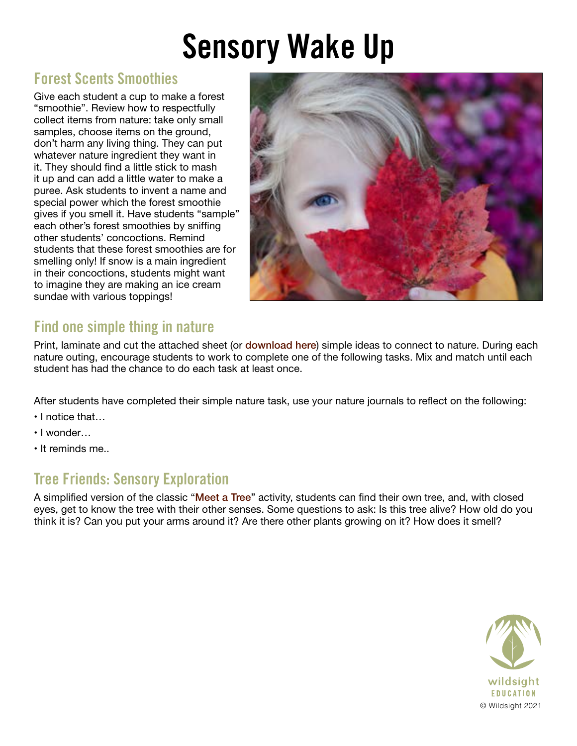# Sensory Wake Up

### Forest Scents Smoothies

Give each student a cup to make a forest "smoothie". Review how to respectfully collect items from nature: take only small samples, choose items on the ground, don't harm any living thing. They can put whatever nature ingredient they want in it. They should find a little stick to mash it up and can add a little water to make a puree. Ask students to invent a name and special power which the forest smoothie gives if you smell it. Have students "sample" each other's forest smoothies by sniffing other students' concoctions. Remind students that these forest smoothies are for smelling only! If snow is a main ingredient in their concoctions, students might want to imagine they are making an ice cream sundae with various toppings!



## Find one simple thing in nature

Print, laminate and cut the attached sheet (or [download here](https://wildsight.ca/wp-content/uploads/2021/10/Nature-hunt-sensory-wakeup-lesson-pg2.pdf)) simple ideas to connect to nature. During each nature outing, encourage students to work to complete one of the following tasks. Mix and match until each student has had the chance to do each task at least once.

After students have completed their simple nature task, use your nature journals to reflect on the following:

- I notice that…
- I wonder…
- It reminds me..

### Tree Friends: Sensory Exploration

A simplified version of the classic "[Meet a Tree](https://www.sharingnature.com/meet-a-tree.html)" activity, students can find their own tree, and, with closed eyes, get to know the tree with their other senses. Some questions to ask: Is this tree alive? How old do you think it is? Can you put your arms around it? Are there other plants growing on it? How does it smell?